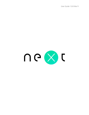User Guide 1.0.8 Mar 9

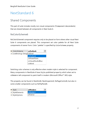# NextStandard 6

# Shared Components

This part of suite includes mostly non-visual components (TComponent descendants) that are shared between all components in Next Suite 6.

## NxColorScheme6

NxColorScheme6 component requires only to be placed on form where other visual Next Suite 6 components are placed. This component set color palette for all Next Suite components of owner Form. Color "palette" is specified by ColorScheme property.

| >> ColorScheme                       | csOutlook          |  |  |  |
|--------------------------------------|--------------------|--|--|--|
| <b>E</b> LiveBindings Design csExcel |                    |  |  |  |
|                                      | csOutlook          |  |  |  |
|                                      | csPowerPoint       |  |  |  |
|                                      | csVisualStudioBlue |  |  |  |
|                                      | csWord             |  |  |  |

Switching color schemes is only effective when *modern* style is selected for component. Many components in NextSuite 6 have Style published property which when set to stModern tell component to paint itself in modern (Microsoft Office™ 365) style.

This property can be found in NextGrid6, NextInspector6, NxPageControl6, but also in some smaller components such as NxFlipPanel6.

| $\sum$ Style                | <b>stModern</b> |
|-----------------------------|-----------------|
| $\boxed{\pm}$ StyleElements | stModern        |
| $\Box$ StyleOptions         | stNative        |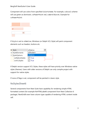Component will use colors from specified ColorScheme. For example, csExcel scheme will use green as dominant, csPowerPoint red, csWord blue etc. Example for csPowerPoint:

If Style is set to stNative, Windows (or Delphi VCL Style) will paint component elements such as headers, buttons etc.



If Delphi version support VCL Styles, these styles will have priority over Windows native styles (themes). Users with older versions of Delphi can only compile project with support for native styles.

If none of flags is set, component will be painted in classic style.

## NxStylesSheet6

Several components from Next Suite have capability for rendering simple HTML formatted content (for example NxHTMLLabel6 component from Next Collection 6 package). NextGrid6 even have column type capable of rendering HTML content inside cell.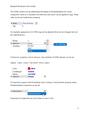This HTML content can be additionally formatted via NxStylesSheet6 non-visual component. Same as in standard CSS there are rules which can be applied to tags. These rules can be set inside Rules property:

| $\lambda$ Rules |  | (TNxCSSRules)<br> |  |
|-----------------|--|-------------------|--|
|                 |  |                   |  |

For Example, appearance of A HTML tag can be adjusted (font can be changed, text can be underlined etc.).

| Name            | a       |   |                  |
|-----------------|---------|---|------------------|
| $\sum$ Selector | skTag   | ▼ | <a> html tag</a> |
| TextAlign       | skClass |   |                  |
|                 | skID    |   |                  |
|                 | skTag   |   |                  |

If Selector property is set to skClass, class attribute of HTML element can be set.

sample <span class="red-bold">text</span>

| Color           | clRed          |
|-----------------|----------------|
| FontWeight      | fwBold         |
| Name            | red-bold       |
| $\sum$ Selector | <b>skClass</b> |

If component support html formatting, there is always a StylesSheet property where NxStylesSheet6 component can be set.



Properties for single Rule are very similar to ones in CSS.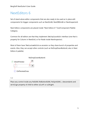# NextEditors 6

Set of stand-alone editor components that are also ready to be used as In-place edit components for bigger components such as NextGrid6, NextDBGrid6 or NextInspector6.

Next Editors components are placed inside "Next Editors 6" Tool/Component Palette Category.

Common for all editors are that they implement INxInplaceEdit interface (one that is property for Column in NextGrid, or for Node inside NextInspector).

Most of them have TNxCustomEdit6 as ancestor so they share bunch of properties and events. Also, they can accept other controls (such as NxDropDownButton6, also in Next Editors 6 palette).



#### TIP

Place any control inside any NxEdit6 (NxButtonEdit6, NxSpinEdit6…) descendants and set Align property of child to either alLeft or alRight.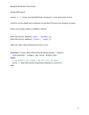### NxGridPicker6

Version v6.0.13 brings new NxGridPicker6 component, a mini-grid picker control.

Columns can be added and configured via standard TCollection property Columns.

Rows can be easily added via AddRow method:

#### DELPHI

```
NxGridPicker61.AddRow(['Audi', 'Germany']);
NxGridPicker61.AddRow(['Toyota', 'Japan']);
```
After user select value, OnSetValue event occurs:

#### DELPHI

```
procedure TForm1.NxGridPicker61SetValue(Sender: TObject;
   SelectedIndex: Integer; var Value: WideString);
begin
  // by default 1st (index = 0) cell will be used
  Value := NxGridPicker61.Row[SelectedIndex].Cells[2];
end;
```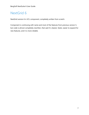# NextGrid 6

NextGrid version 6 is VCL component, completely written from scratch.

Component is continuing with name and most of the features from previous version 5, but code is almost completely rewritten, that said it's cleaner, faster, easier to expand for new features, and it is more reliable.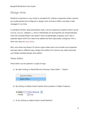# Design-time

NextGrid component is very similar to standard VCL ListView component where columns are usually placed and configured in design-time via built-in Editor, and data is later managed in run-time.

In standard ListView, data presentation style is set by ViewStyle property (which can be vcIcon, vsList, vsReport…). Since in NextGrid6 not all properties are shared between views (for example Report view doesn't have SlidesHeight property), each view is separate object which first need to be added and then (optionally) configured. This is done very easy via Views Editor.

Also, since there are dozens of column-types (where each one includes own properties and paint data in different way), design-time editors for Columns are vastly improved over Delphi standard design-time editors.

### Views Editor

Views Editor can be opened in couple of ways:

a) By right clicking on NextGrid6 and choosing "Views Editor…" Option:



b) By clicking on ellipsis button beside Views property in Object Inspector:



c) Or by clicking on ellipsis button inside NextGrid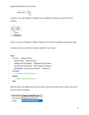

In Editor, new view (Report or Slides) can be added by clicking on one of first two buttons:



Then, it can be configured in Object Inspector who will list properties of selected View.

If name of view is set, IDE will create variable for each view:

```
DELPHI
type
  TForm1 = class(TForm)
     NextGrid61: TNextGrid6;
     NxReportGridView61: TNxReportGridView6;
     NxSlidesGridView61: TNxSlidesGridView6;
     procedure FormCreate(Sender: TObject);
  private
     { Private declarations }
   public
     { Public declarations }
   end;
```
After all views are added and set, active view (one that will be shown in grid) can be set by ActiveView property:

|       | E ActiveView NxReportGridView61 |  |  |
|-------|---------------------------------|--|--|
|       | ActiveViewI NxReportGridView61  |  |  |
| Align | NxSlidesGridView61              |  |  |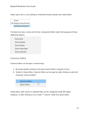Faster way to do it, is by clicking on checkmark button beside view inside editor.



If at least one view is active at the time, Component Editor (right-click popup) will show additional options:

Show Grid Show Header

Show **Footer** 

Show Insert Row

Show Indicator

## Columns Editor

Columns Editor can be open is several ways:

- a. By simply double-clicking on the grid control while it's placed on form.
- b. Similar to Views Editor, Columns Editor can be open by right-clicking on grid and choosing "Columns Editor":



Inside editor, after column is selected they can be configured inside IDE Object Inspector, or after clicking on icon inside  $1<sup>st</sup>$  column, inside mini quick-editor.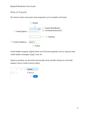## Parts of Column

All columns share some parts (and properties) such as Header and Footer.



Inside Header property (object) there can be found properties such as Caption (text inside header rectangle), Glyph, Font etc.

Caption property can be easily (and quickly) set by double clicking on cell inside Header Column inside Columns Editor:

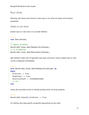## Run-time

Working with Views and Columns is also easy in run-time via Views and Columns properties.

```
Views in run-time
```
Easiest way to a new view is to use Add method:

```
DELPHI
uses NxGridView6;
...
// Report GridView
NextGrid61.Views.Add(TNxReportGridView6);
// or SlidesView
NextGrid61.Views.Add(TNxSlidesGridView6);
```
Add method create view of specified class type, and return newly created view so view can be configured immediately:

```
DELPHI
with NextGrid61.Views.Add(TNxReportGridView6) do
begin
   GridLines := True;
   ShowFooter := True;
   SelectionStyle := stAlphaBlended;
   // etc.
end;
```
Views also provides access to already existing views via array property:

```
DELPHI
NextGrid61.Views[0].GridLines := True;
```
For setting view-type specific properties typecasting can be used: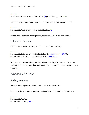#### DELPHI

TNxSlidesGridView6(NextGrid61.Views[0]).SlideHeight := 120;

Switching views is same as in design-time done by ActiveView property of grid:

#### DELPHI

```
NextGrid61.ActiveView := NextGrid61.Views[2];
```
There is also ActiveViewIndex property which can be set to the index of view.

## Columns in run-time

Column can be added by calling Add method of Columns property:

#### DELPHI

```
NextGrid61.Columns.Add(TNxNumberColumn6, 'Quantity', 'QTY');
NextGrid61.Columns.Add(TNxTextColumn6, 'Person');
```
First parameter is required and specifies column class (type) to be added. Other two parameters are optional and they specify Header.Caption and Header.ShortCaption property.

## Working with Rows

### Adding new rows

New row (or multiple rows at once) can be added in several ways.

Method used to add one, or specified number of rows at the end of grid is AddRow:

#### DELPHI

```
NextGrid61.AddRow;
NextGrid61.AddRow(100);
```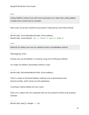HINT

Calling AddRow method once with Count parameter set is faster than calling AddRow multiple times (inside loop for example).

New row(s) can be also inserted at any position inside grid by InsertRow method:

#### DELPHI

```
NextGrid61.InsertRow(NextGrid61.SelectedRow);
NextGrid61.InsertRow(0, 2); // Insert 2 rows at index 0
```
HINT

Methods for adding new rows are updating handy LastAddedRow method.

### Managing rows

Existing rows can be deleted or moved by using one of following methods.

For single row deletion, DeleteRow method is used:

#### DELPHI

NextGrid61.DeleteRow(NextGrid61.SelectedRow);

There is couple of shorthand deletion methods such as DeleteSelected, DeleteLastRow which names are self-explanatory.

ClearRows method deletes all rows in grid.

Every row is object with own properties that can be accessed via Rows array property. Example:

#### DELPHI

```
NextGrid61.Row[2].Height := 24;
```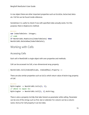In row object there are other important properties such as Visible, Selected, Data etc. Full list can be found inside reference.

Sometimes it is useful to check if row with specified index actually exists. For this purpose, there is RowExists method.

```
DELPHI
var IndexToDelete: Integer;
// code
if NextGrid61.RowExists(IndexToDelete) then
NextGrid61.DeleteRow(IndexToDelete);
```
# Working with Cells

## Accessing Cells

Each cell in NextGrid6 is single object with own properties and methods.

Cell can be accessed via Cell, a two-dimensional array property:

```
NextGrid61.Cell[IndexOfColumn, IndexOfRow].Property :=
```
There are also similar properties such as Cells which return value of AsString property of Cell.

```
DELPHI
MyStringVar := NextGrid61.Cells[2, 1];
// above is equal to:
MyStringVar := NextGrid61.Cell[2, 2].AsString;
```
There is also a property CellBy that take Variant as parameter while calling. Parameter can be one of the strings such as first, last or selected. For column can be a column name. And as for Cell property it can be index.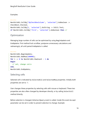#### Examples:

#### DELPHI

```
NextGrid61.CellBy['MyCheckBoxColumn', 'selected'].AsBoolean := 
CheckBox1.Checked;
NextGrid61.CellBy[2, 'selected'].AsString := Edit1.Text;
if NextGrid61.CellBy['first', 'selected'].AsBoolean then //
```
## **Optimization**

Managing large number of cells can be optimized by using BeginUpdate and EndUpdate. First method lock scrollbar, postpone unnecessary calculations and redrawing(s), all until paired EndUpdate is called.

```
DELP H I
NextGrid61.BeginUpdate;
NextGrid61.AddRow(100000);
for i := 0 to NextGrid61.RowCount - 1 do
begin
  // set, change cells
end;
NextGrid61.EndUpdate;
```
## Selecting cells

Selected cell is indicated by SelectedCol and SelectedRow properties. Initially both properties are set to -1.

User changes these properties by selecting cells with mouse or keyboard. These two properties are also often changed by developer directly, or by calling SelectCell method directly.

Before selection is changed, OnSelectQuery event is called. Inside this event Accept parameter can be set in order to prevent selection to change. Example: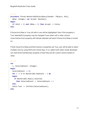```
DELPHI
procedure TForm1.NextGrid61SelectQuery(Sender: TObject; ACol,
  ARow: Integer; var Accept: Boolean);
begin
  if (ACol = 2) and (ARow = 2) then Accept := False;
end;
```
If SelectFullRow is True, all cells in row will be highlighted. Even if this property is True, SelectedCol property may be changed if user select cell in other column. InvertSelection property will indicate selected cell event if SelectFullRow is turned on.

If both SelectFullRow and MultiSelect properties are True, user will be able to select multiple rows by using Shift and Control keys. In so called multi-select mode developer can read Selected Boolean property of each Row and do custom actions based on value.

```
DELPHI
var
   i, SelectedCount: Integer;
begin
  SelectedCount := 0;
   for i := 0 to NextGrid61.RowCount – 1 do
  begin
     if NextGrid61.Row[i].Selected
       then SelectedCount := SelectedCount + 1
   end;
   Edit1.Text := IntToStr(SelectedCount); 
end;
```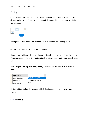## Editing

Cells in column can be edited if Editing property of column is set to True. Doubleclicking on icon inside Columns Editor can quickly toggle this property (and also indicate current state):



Editing can be also enabled/disabled on cell level via Enabled property of Cell:

```
DELPHI
NextGrid61.Cell[0, 0].Enabled := False;
```
User can start editing cell by either clicking on it, or by start typing while cell is selected. If column support editing, it will automatically create own edit control and place it inside cell.

With using column InplaceEdit property developer can override default choice for control.



Custom edit control can be also set inside OnGetInplaceEdit event which is very handy:

```
DELPHI
uses NxEdit6;
```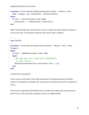```
procedure TForm1.NextGrid61GetInplaceEdit(Sender: TObject; ACol,
  ARow: Integer; var InplaceEdit: INxInplaceEdit);
begin
   if ACol = NxTextColumn61.Index then
     InplaceEdit := TNxSpinEdit6.Create(Self);
end;
```
When editing finally starts OnEditEnter event is called and InplaceEdit property of Grid can be read. This property reference edit control used in editing.

```
DELPHI
uses NxEdit;
...
procedure TForm1.NextGrid61EditEnter(Sender: TObject; ACol, ARow: 
Integer);
begin
   if ACol = NxNumberColumn61.Index then
  begin
     { We know that this column uses TNxSpinEdit6
       as edit control }
     TNxSpinEdit6(NextGrid61.InplaceEdit).Max := 20;
   end;
end;
```
### Interactive property

Some columns that doesn't have Edit component for keyboard editing (CheckBox column for example) can disable user interactions by setting Interactive property to False.

Some column types like NxTrackBarColumn include both editing area and interactive part of cell. In that case both properties can be set independently.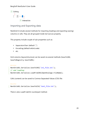

## Importing and Exporting data

NextGrid 6 include several methods for importing (loading) and exporting (saving) columns or cells. They are all grouped inside Serialize property.

This property include couple of sub-properties such as:

- SeparatorChar (default ",")
- Encoding (default ekUnicode)
- etc.

Grid columns (layout/structure) can be saved via several methods (SaveToINI, SaveToRegistry, SaveToXML):

```
DELPHI
NextGrid61.Serialize.SaveToINI('ini file.ini');
// and loading:
NextGrid61.Serialize.LoadFromINI(OpenDialog1.FileName);
```
Cells (content) can be saved to Comma-Separated-Values (CSV) file:

#### DELPHI

NextGrid61.Serialize.SaveToCSV('text\_file.txt');

There is also LoadFromCSV counterpart method.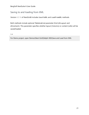## Saving to and loading from XML

Version 6.0.16 of NextGrid6 includes SaveToXML and LoadFromXML methods.

Both methods include optional TNxDataKind parameter Kind (dtLayout and dtContent). This parameter specifies whether layout (Columns) or content (cells) will be saved/loaded.

TIP

For Demo project, open Demos\Next Grid\Delphi XE6\Save and Load from XML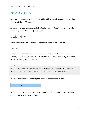# NextDBGrid 6

NextDBGrid 6 component inherits NextGrid 6, with almost all properties and methods, but extended with DB support.

As many other data-aware controls, NextDBGrid include DataSource property which connects grid with TDataSet (Table, Query…).

# Design-time

Same Columns and Views design-time editors are available for NextDBGrid.

# Columns

If grid have no columns, and aoAutoAddFields is set inside ActivationOptions property of Grid, new column will be created for each field automatically after linked DataSet is open (activated). (v6.0.6)

#### WARNING

In design-time each column requires property Name set. This can be done easily by choosing "Set Missing Names" from popup menu inside Columns Editor.

In design-time, there is a handy option inside component popup menu:



With this option column type can be set for every field. In run-time DoAddFieldQuery event can be used for same purpose.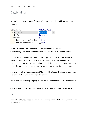# DataBinding

NexDBGrid use same columns from NextGrid and extend them with DataBinding property:



If DataSet is open, field associated with column can be chosen by DataBinding.FieldName property after column is selected in Columns Editor.

If dboUseFieldProperties value of Options property is set to True, column will assign some properties from TField (e.g. Alignment, Visible, ReadOnly etc.). If Column is TNxFloatColumn6 descendant, and field is also of numeric type, additional properties are copied too, for example: DisplayFormat, MaxValue, Precision…

Some columns like checkbox column (TNxDBCheckBoxColumn6) add some data-related properties that doesn't exists in non-db version.

In run-time DataBinding property of Grid can be used to access each Column's Field:

#### DELPHI

MyFieldName := NextDBGrid61.DataBinding[IndexOfColumn].FieldName;

## Cells

Even if NextDBGrid6 is data-aware grid component, it still includes Cell property, same as NextGrid6.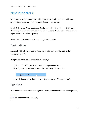# NextInspector 6

NextInspector 6 is Object Inspector (aka. properties control) component with more advanced and modern ways of managing (inspecting) properties.

Smallest element of NextInspector6 is TNxInspectorNode6 which as in RAD Studio Object Inspector can have Caption and Value. Each node also can have children nodes (again, same as in Object Inspector).

Nodes can be easily managed in both design and run-time.

## Design-time

Same as NextGrid6, NextInspector6 also own dedicated design-time editor for managing own data.

Design-time editor can be open in couple of ways:

- a) By double-clicking on NextInspector6 component on form.
- b) By right clicking on NextInspector6 and choosing "Nodes Editor…"



c) By clicking on ellipsis button beside Nodes property of NextInspector6.

## Run-time

Most important property for working with NextInspector6 in run-time is Nodes property.

```
DELPHI
uses NxInspectorNodeClasses6;
...
```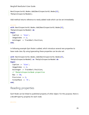NextInspector61.Nodes.Add(NextInspector61.Nodes[0], TNxSpinInspectorNode6);

Add method returns reference to newly added node which can be set immediately:

```
DELPHI
with NextInspector61.Nodes.Add(NextInspector61.Nodes[0],
TNxSpinInspectorNode6) do
begin
  Caption := 'Size';
 ImageIndex := 2; AsInteger := TrackBar1.Position;
end;
```
In following example Spin Node is added, which introduce several new properties to base node class. By using typecasting these properties can be also set:

```
with NextInspector61.Nodes.Add(NextInspector61.Nodes[0],
TNxSpinInspectorNode6) as TNxSpinInspectorNode6 do
begin
  Caption := 'Size';
  ImageIndex := 2;
  AsInteger := TrackBar1.Position;
  // TNxSpinInspectorNode properties
 Max := 50; Precision := 2;
  FormatMask := '0';
end;
```
## Reading properties

Each Node can be linked to published property of other object. For this purpose, there is a BindProperty property for each node.

DELPHI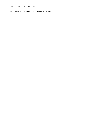L

NextInspector61.ReadProperties(ParentNode);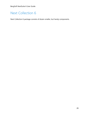# Next Collection 6

Next Collection 6 package consists of dozen smaller, but handy components.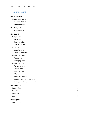## Table of Contents

| <b>NextStandard 6</b>          | $\overline{2}$ |
|--------------------------------|----------------|
| <b>Shared Components</b>       | $\overline{c}$ |
| NxColorScheme6                 | $\overline{2}$ |
| NxStylesSheet6                 | $\mathsf{3}$   |
| <b>NextEditors 6</b>           | 5              |
| NxGridPicker6                  | 6              |
| <b>NextGrid 6</b>              | 7              |
| Design-time                    | 8              |
| <b>Views Editor</b>            | 8              |
| Columns Editor                 | 10             |
| Parts of Column                | 11             |
| Run-time                       | 12             |
| Views in run-time              | 12             |
| Columns in run-time            | 13             |
| <b>Working with Rows</b>       | 13             |
| Adding new rows                | 13             |
| Managing rows                  | 14             |
| Working with Cells             | 15             |
| <b>Accessing Cells</b>         | 15             |
| Optimization                   | 16             |
| Selecting cells                | 16             |
| Editing                        | 18             |
| Interactive property           | 19             |
| Importing and Exporting data   | 20             |
| Saving to and loading from XML | 21             |
| <b>NextDBGrid 6</b>            | 22             |
| Design-time                    | 22             |
| Columns                        | 22             |
| <b>DataBinding</b>             | 23             |
| Cells                          | 23             |
| <b>NextInspector 6</b>         | 25             |
| Design-time                    | 25             |